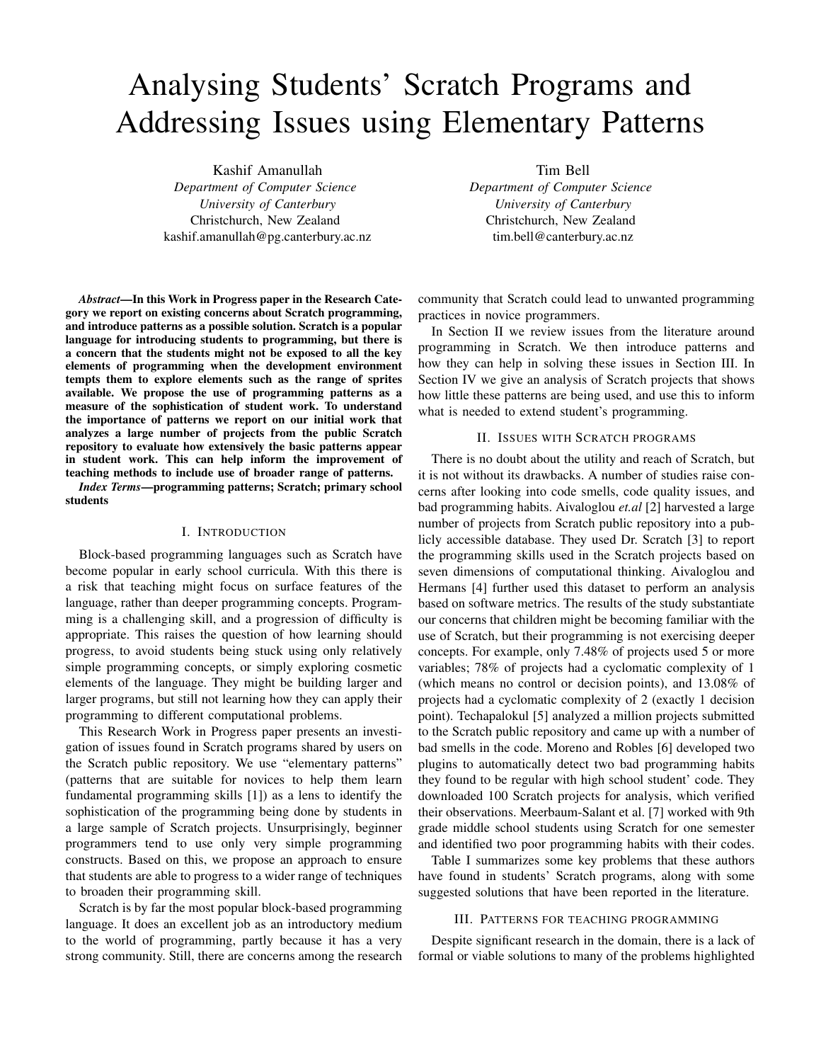# Analysing Students' Scratch Programs and Addressing Issues using Elementary Patterns

Kashif Amanullah *Department of Computer Science University of Canterbury* Christchurch, New Zealand kashif.amanullah@pg.canterbury.ac.nz

*Abstract*—In this Work in Progress paper in the Research Category we report on existing concerns about Scratch programming, and introduce patterns as a possible solution. Scratch is a popular language for introducing students to programming, but there is a concern that the students might not be exposed to all the key elements of programming when the development environment tempts them to explore elements such as the range of sprites available. We propose the use of programming patterns as a measure of the sophistication of student work. To understand the importance of patterns we report on our initial work that analyzes a large number of projects from the public Scratch repository to evaluate how extensively the basic patterns appear in student work. This can help inform the improvement of teaching methods to include use of broader range of patterns.

*Index Terms*—programming patterns; Scratch; primary school students

# I. INTRODUCTION

Block-based programming languages such as Scratch have become popular in early school curricula. With this there is a risk that teaching might focus on surface features of the language, rather than deeper programming concepts. Programming is a challenging skill, and a progression of difficulty is appropriate. This raises the question of how learning should progress, to avoid students being stuck using only relatively simple programming concepts, or simply exploring cosmetic elements of the language. They might be building larger and larger programs, but still not learning how they can apply their programming to different computational problems.

This Research Work in Progress paper presents an investigation of issues found in Scratch programs shared by users on the Scratch public repository. We use "elementary patterns" (patterns that are suitable for novices to help them learn fundamental programming skills [1]) as a lens to identify the sophistication of the programming being done by students in a large sample of Scratch projects. Unsurprisingly, beginner programmers tend to use only very simple programming constructs. Based on this, we propose an approach to ensure that students are able to progress to a wider range of techniques to broaden their programming skill.

Scratch is by far the most popular block-based programming language. It does an excellent job as an introductory medium to the world of programming, partly because it has a very strong community. Still, there are concerns among the research Tim Bell

*Department of Computer Science University of Canterbury* Christchurch, New Zealand tim.bell@canterbury.ac.nz

community that Scratch could lead to unwanted programming practices in novice programmers.

In Section II we review issues from the literature around programming in Scratch. We then introduce patterns and how they can help in solving these issues in Section III. In Section IV we give an analysis of Scratch projects that shows how little these patterns are being used, and use this to inform what is needed to extend student's programming.

#### II. ISSUES WITH SCRATCH PROGRAMS

There is no doubt about the utility and reach of Scratch, but it is not without its drawbacks. A number of studies raise concerns after looking into code smells, code quality issues, and bad programming habits. Aivaloglou *et.al* [2] harvested a large number of projects from Scratch public repository into a publicly accessible database. They used Dr. Scratch [3] to report the programming skills used in the Scratch projects based on seven dimensions of computational thinking. Aivaloglou and Hermans [4] further used this dataset to perform an analysis based on software metrics. The results of the study substantiate our concerns that children might be becoming familiar with the use of Scratch, but their programming is not exercising deeper concepts. For example, only 7.48% of projects used 5 or more variables; 78% of projects had a cyclomatic complexity of 1 (which means no control or decision points), and 13.08% of projects had a cyclomatic complexity of 2 (exactly 1 decision point). Techapalokul [5] analyzed a million projects submitted to the Scratch public repository and came up with a number of bad smells in the code. Moreno and Robles [6] developed two plugins to automatically detect two bad programming habits they found to be regular with high school student' code. They downloaded 100 Scratch projects for analysis, which verified their observations. Meerbaum-Salant et al. [7] worked with 9th grade middle school students using Scratch for one semester and identified two poor programming habits with their codes.

Table I summarizes some key problems that these authors have found in students' Scratch programs, along with some suggested solutions that have been reported in the literature.

#### III. PATTERNS FOR TEACHING PROGRAMMING

Despite significant research in the domain, there is a lack of formal or viable solutions to many of the problems highlighted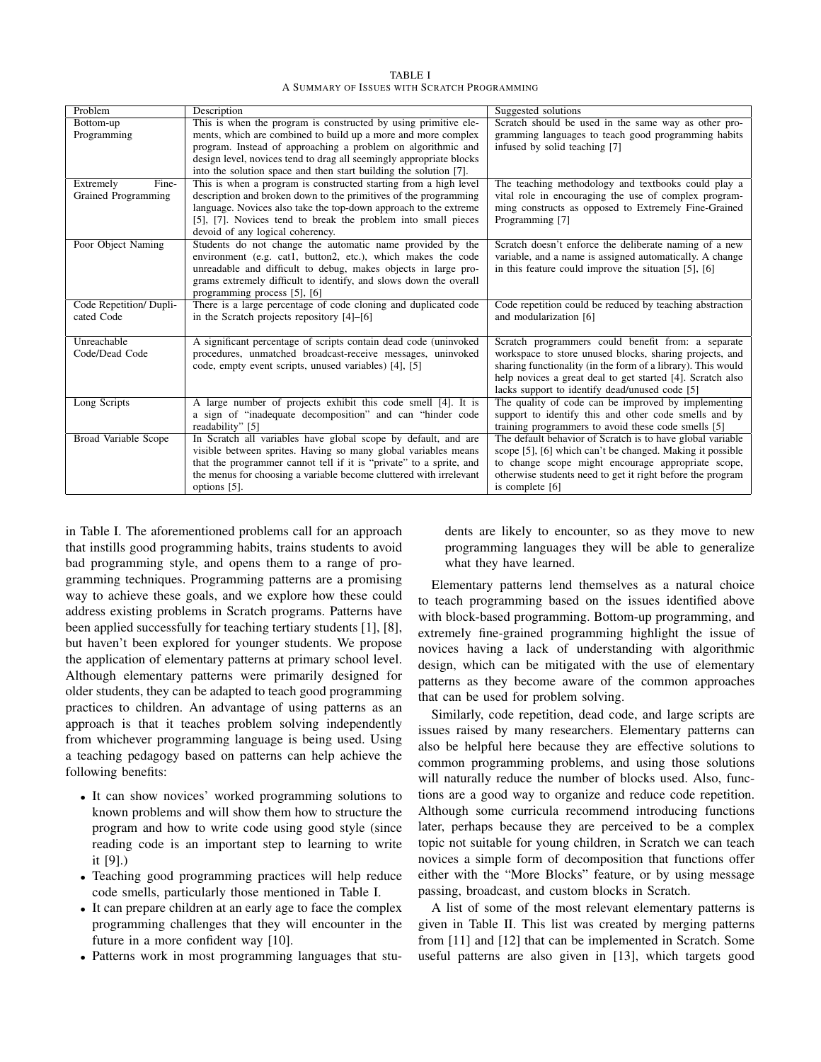TABLE I A SUMMARY OF ISSUES WITH SCRATCH PROGRAMMING

| Problem                     | Description                                                                                                                    | Suggested solutions                                                                                              |
|-----------------------------|--------------------------------------------------------------------------------------------------------------------------------|------------------------------------------------------------------------------------------------------------------|
| Bottom-up                   | This is when the program is constructed by using primitive ele-                                                                | Scratch should be used in the same way as other pro-                                                             |
| Programming                 | ments, which are combined to build up a more and more complex                                                                  | gramming languages to teach good programming habits                                                              |
|                             | program. Instead of approaching a problem on algorithmic and                                                                   | infused by solid teaching [7]                                                                                    |
|                             | design level, novices tend to drag all seemingly appropriate blocks                                                            |                                                                                                                  |
|                             | into the solution space and then start building the solution [7].                                                              |                                                                                                                  |
| Extremely<br>Fine-          | This is when a program is constructed starting from a high level                                                               | The teaching methodology and textbooks could play a                                                              |
| Grained Programming         | description and broken down to the primitives of the programming                                                               | vital role in encouraging the use of complex program-                                                            |
|                             | language. Novices also take the top-down approach to the extreme                                                               | ming constructs as opposed to Extremely Fine-Grained                                                             |
|                             | [5], [7]. Novices tend to break the problem into small pieces                                                                  | Programming [7]                                                                                                  |
|                             | devoid of any logical coherency.                                                                                               |                                                                                                                  |
| Poor Object Naming          | Students do not change the automatic name provided by the                                                                      | Scratch doesn't enforce the deliberate naming of a new                                                           |
|                             | environment (e.g. cat1, button2, etc.), which makes the code<br>unreadable and difficult to debug, makes objects in large pro- | variable, and a name is assigned automatically. A change<br>in this feature could improve the situation [5], [6] |
|                             | grams extremely difficult to identify, and slows down the overall                                                              |                                                                                                                  |
|                             | programming process [5], [6]                                                                                                   |                                                                                                                  |
| Code Repetition/Dupli-      | There is a large percentage of code cloning and duplicated code                                                                | Code repetition could be reduced by teaching abstraction                                                         |
| cated Code                  | in the Scratch projects repository [4]–[6]                                                                                     | and modularization [6]                                                                                           |
|                             |                                                                                                                                |                                                                                                                  |
| Unreachable                 | A significant percentage of scripts contain dead code (uninvoked                                                               | Scratch programmers could benefit from: a separate                                                               |
| Code/Dead Code              | procedures, unmatched broadcast-receive messages, uninvoked                                                                    | workspace to store unused blocks, sharing projects, and                                                          |
|                             | code, empty event scripts, unused variables) [4], [5]                                                                          | sharing functionality (in the form of a library). This would                                                     |
|                             |                                                                                                                                | help novices a great deal to get started [4]. Scratch also                                                       |
|                             |                                                                                                                                | lacks support to identify dead/unused code [5]                                                                   |
| Long Scripts                | A large number of projects exhibit this code smell [4]. It is                                                                  | The quality of code can be improved by implementing                                                              |
|                             | a sign of "inadequate decomposition" and can "hinder code                                                                      | support to identify this and other code smells and by                                                            |
|                             | readability" [5]                                                                                                               | training programmers to avoid these code smells [5]                                                              |
| <b>Broad Variable Scope</b> | In Scratch all variables have global scope by default, and are                                                                 | The default behavior of Scratch is to have global variable                                                       |
|                             | visible between sprites. Having so many global variables means                                                                 | scope [5], [6] which can't be changed. Making it possible                                                        |
|                             | that the programmer cannot tell if it is "private" to a sprite, and                                                            | to change scope might encourage appropriate scope,                                                               |
|                             | the menus for choosing a variable become cluttered with irrelevant                                                             | otherwise students need to get it right before the program                                                       |
|                             | options [5].                                                                                                                   | is complete [6]                                                                                                  |

in Table I. The aforementioned problems call for an approach that instills good programming habits, trains students to avoid bad programming style, and opens them to a range of programming techniques. Programming patterns are a promising way to achieve these goals, and we explore how these could address existing problems in Scratch programs. Patterns have been applied successfully for teaching tertiary students [1], [8], but haven't been explored for younger students. We propose the application of elementary patterns at primary school level. Although elementary patterns were primarily designed for older students, they can be adapted to teach good programming practices to children. An advantage of using patterns as an approach is that it teaches problem solving independently from whichever programming language is being used. Using a teaching pedagogy based on patterns can help achieve the following benefits:

- It can show novices' worked programming solutions to known problems and will show them how to structure the program and how to write code using good style (since reading code is an important step to learning to write it [9].)
- Teaching good programming practices will help reduce code smells, particularly those mentioned in Table I.
- It can prepare children at an early age to face the complex programming challenges that they will encounter in the future in a more confident way [10].
- Patterns work in most programming languages that stu-

dents are likely to encounter, so as they move to new programming languages they will be able to generalize what they have learned.

Elementary patterns lend themselves as a natural choice to teach programming based on the issues identified above with block-based programming. Bottom-up programming, and extremely fine-grained programming highlight the issue of novices having a lack of understanding with algorithmic design, which can be mitigated with the use of elementary patterns as they become aware of the common approaches that can be used for problem solving.

Similarly, code repetition, dead code, and large scripts are issues raised by many researchers. Elementary patterns can also be helpful here because they are effective solutions to common programming problems, and using those solutions will naturally reduce the number of blocks used. Also, functions are a good way to organize and reduce code repetition. Although some curricula recommend introducing functions later, perhaps because they are perceived to be a complex topic not suitable for young children, in Scratch we can teach novices a simple form of decomposition that functions offer either with the "More Blocks" feature, or by using message passing, broadcast, and custom blocks in Scratch.

A list of some of the most relevant elementary patterns is given in Table II. This list was created by merging patterns from [11] and [12] that can be implemented in Scratch. Some useful patterns are also given in [13], which targets good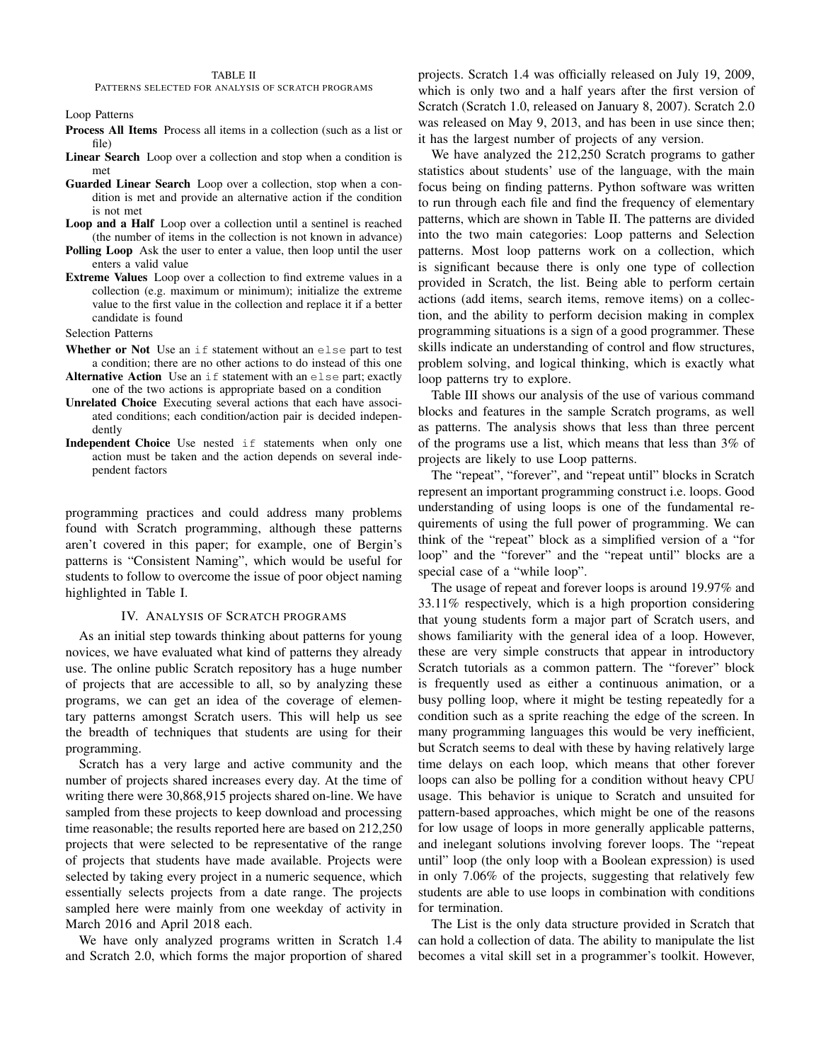PATTERNS SELECTED FOR ANALYSIS OF SCRATCH PROGRAMS

Loop Patterns

- Process All Items Process all items in a collection (such as a list or file)
- Linear Search Loop over a collection and stop when a condition is met
- Guarded Linear Search Loop over a collection, stop when a condition is met and provide an alternative action if the condition is not met
- Loop and a Half Loop over a collection until a sentinel is reached (the number of items in the collection is not known in advance)
- Polling Loop Ask the user to enter a value, then loop until the user enters a valid value
- Extreme Values Loop over a collection to find extreme values in a collection (e.g. maximum or minimum); initialize the extreme value to the first value in the collection and replace it if a better candidate is found
- Selection Patterns
- Whether or Not Use an if statement without an else part to test a condition; there are no other actions to do instead of this one
- Alternative Action Use an if statement with an else part; exactly one of the two actions is appropriate based on a condition
- Unrelated Choice Executing several actions that each have associated conditions; each condition/action pair is decided independently
- Independent Choice Use nested if statements when only one action must be taken and the action depends on several independent factors

programming practices and could address many problems found with Scratch programming, although these patterns aren't covered in this paper; for example, one of Bergin's patterns is "Consistent Naming", which would be useful for students to follow to overcome the issue of poor object naming highlighted in Table I.

# IV. ANALYSIS OF SCRATCH PROGRAMS

As an initial step towards thinking about patterns for young novices, we have evaluated what kind of patterns they already use. The online public Scratch repository has a huge number of projects that are accessible to all, so by analyzing these programs, we can get an idea of the coverage of elementary patterns amongst Scratch users. This will help us see the breadth of techniques that students are using for their programming.

Scratch has a very large and active community and the number of projects shared increases every day. At the time of writing there were 30,868,915 projects shared on-line. We have sampled from these projects to keep download and processing time reasonable; the results reported here are based on 212,250 projects that were selected to be representative of the range of projects that students have made available. Projects were selected by taking every project in a numeric sequence, which essentially selects projects from a date range. The projects sampled here were mainly from one weekday of activity in March 2016 and April 2018 each.

We have only analyzed programs written in Scratch 1.4 and Scratch 2.0, which forms the major proportion of shared projects. Scratch 1.4 was officially released on July 19, 2009, which is only two and a half years after the first version of Scratch (Scratch 1.0, released on January 8, 2007). Scratch 2.0 was released on May 9, 2013, and has been in use since then; it has the largest number of projects of any version.

We have analyzed the 212,250 Scratch programs to gather statistics about students' use of the language, with the main focus being on finding patterns. Python software was written to run through each file and find the frequency of elementary patterns, which are shown in Table II. The patterns are divided into the two main categories: Loop patterns and Selection patterns. Most loop patterns work on a collection, which is significant because there is only one type of collection provided in Scratch, the list. Being able to perform certain actions (add items, search items, remove items) on a collection, and the ability to perform decision making in complex programming situations is a sign of a good programmer. These skills indicate an understanding of control and flow structures, problem solving, and logical thinking, which is exactly what loop patterns try to explore.

Table III shows our analysis of the use of various command blocks and features in the sample Scratch programs, as well as patterns. The analysis shows that less than three percent of the programs use a list, which means that less than 3% of projects are likely to use Loop patterns.

The "repeat", "forever", and "repeat until" blocks in Scratch represent an important programming construct i.e. loops. Good understanding of using loops is one of the fundamental requirements of using the full power of programming. We can think of the "repeat" block as a simplified version of a "for loop" and the "forever" and the "repeat until" blocks are a special case of a "while loop".

The usage of repeat and forever loops is around 19.97% and 33.11% respectively, which is a high proportion considering that young students form a major part of Scratch users, and shows familiarity with the general idea of a loop. However, these are very simple constructs that appear in introductory Scratch tutorials as a common pattern. The "forever" block is frequently used as either a continuous animation, or a busy polling loop, where it might be testing repeatedly for a condition such as a sprite reaching the edge of the screen. In many programming languages this would be very inefficient, but Scratch seems to deal with these by having relatively large time delays on each loop, which means that other forever loops can also be polling for a condition without heavy CPU usage. This behavior is unique to Scratch and unsuited for pattern-based approaches, which might be one of the reasons for low usage of loops in more generally applicable patterns, and inelegant solutions involving forever loops. The "repeat until" loop (the only loop with a Boolean expression) is used in only 7.06% of the projects, suggesting that relatively few students are able to use loops in combination with conditions for termination.

The List is the only data structure provided in Scratch that can hold a collection of data. The ability to manipulate the list becomes a vital skill set in a programmer's toolkit. However,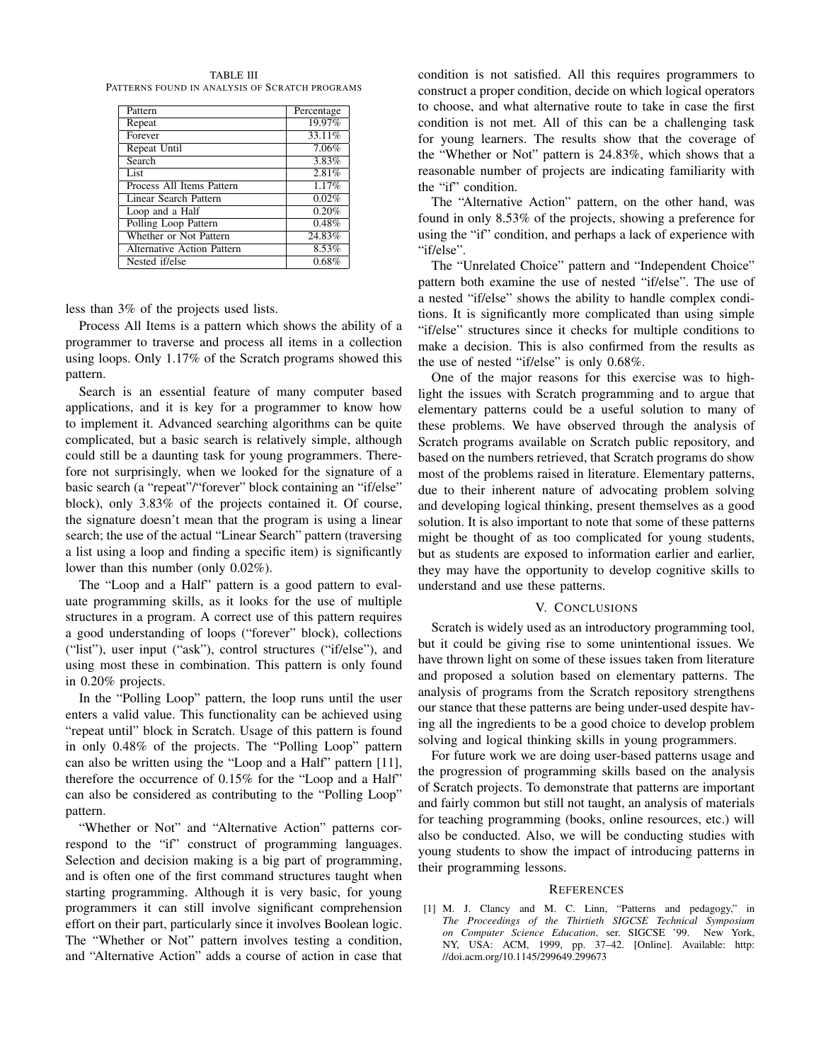TABLE III PATTERNS FOUND IN ANALYSIS OF SCRATCH PROGRAMS

| Pattern                           | Percentage |
|-----------------------------------|------------|
| Repeat                            | 19.97%     |
| Forever                           | 33.11%     |
| Repeat Until                      | 7.06%      |
| Search                            | 3.83%      |
| List                              | 2.81%      |
| Process All Items Pattern         | 1.17%      |
| Linear Search Pattern             | 0.02%      |
| Loop and a Half                   | 0.20%      |
| Polling Loop Pattern              | 0.48%      |
| Whether or Not Pattern            | 24.83%     |
| <b>Alternative Action Pattern</b> | 8.53%      |
| Nested if/else                    | 0.68%      |

less than 3% of the projects used lists.

Process All Items is a pattern which shows the ability of a programmer to traverse and process all items in a collection using loops. Only 1.17% of the Scratch programs showed this pattern.

Search is an essential feature of many computer based applications, and it is key for a programmer to know how to implement it. Advanced searching algorithms can be quite complicated, but a basic search is relatively simple, although could still be a daunting task for young programmers. Therefore not surprisingly, when we looked for the signature of a basic search (a "repeat"/"forever" block containing an "if/else" block), only 3.83% of the projects contained it. Of course, the signature doesn't mean that the program is using a linear search; the use of the actual "Linear Search" pattern (traversing a list using a loop and finding a specific item) is significantly lower than this number (only 0.02%).

The "Loop and a Half" pattern is a good pattern to evaluate programming skills, as it looks for the use of multiple structures in a program. A correct use of this pattern requires a good understanding of loops ("forever" block), collections ("list"), user input ("ask"), control structures ("if/else"), and using most these in combination. This pattern is only found in 0.20% projects.

In the "Polling Loop" pattern, the loop runs until the user enters a valid value. This functionality can be achieved using "repeat until" block in Scratch. Usage of this pattern is found in only 0.48% of the projects. The "Polling Loop" pattern can also be written using the "Loop and a Half" pattern [11], therefore the occurrence of 0.15% for the "Loop and a Half" can also be considered as contributing to the "Polling Loop" pattern.

"Whether or Not" and "Alternative Action" patterns correspond to the "if" construct of programming languages. Selection and decision making is a big part of programming, and is often one of the first command structures taught when starting programming. Although it is very basic, for young programmers it can still involve significant comprehension effort on their part, particularly since it involves Boolean logic. The "Whether or Not" pattern involves testing a condition, and "Alternative Action" adds a course of action in case that condition is not satisfied. All this requires programmers to construct a proper condition, decide on which logical operators to choose, and what alternative route to take in case the first condition is not met. All of this can be a challenging task for young learners. The results show that the coverage of the "Whether or Not" pattern is 24.83%, which shows that a reasonable number of projects are indicating familiarity with the "if" condition.

The "Alternative Action" pattern, on the other hand, was found in only 8.53% of the projects, showing a preference for using the "if" condition, and perhaps a lack of experience with "if/else".

The "Unrelated Choice" pattern and "Independent Choice" pattern both examine the use of nested "if/else". The use of a nested "if/else" shows the ability to handle complex conditions. It is significantly more complicated than using simple "if/else" structures since it checks for multiple conditions to make a decision. This is also confirmed from the results as the use of nested "if/else" is only  $0.68\%$ .

One of the major reasons for this exercise was to highlight the issues with Scratch programming and to argue that elementary patterns could be a useful solution to many of these problems. We have observed through the analysis of Scratch programs available on Scratch public repository, and based on the numbers retrieved, that Scratch programs do show most of the problems raised in literature. Elementary patterns, due to their inherent nature of advocating problem solving and developing logical thinking, present themselves as a good solution. It is also important to note that some of these patterns might be thought of as too complicated for young students, but as students are exposed to information earlier and earlier, they may have the opportunity to develop cognitive skills to understand and use these patterns.

### V. CONCLUSIONS

Scratch is widely used as an introductory programming tool, but it could be giving rise to some unintentional issues. We have thrown light on some of these issues taken from literature and proposed a solution based on elementary patterns. The analysis of programs from the Scratch repository strengthens our stance that these patterns are being under-used despite having all the ingredients to be a good choice to develop problem solving and logical thinking skills in young programmers.

For future work we are doing user-based patterns usage and the progression of programming skills based on the analysis of Scratch projects. To demonstrate that patterns are important and fairly common but still not taught, an analysis of materials for teaching programming (books, online resources, etc.) will also be conducted. Also, we will be conducting studies with young students to show the impact of introducing patterns in their programming lessons.

## **REFERENCES**

[1] M. J. Clancy and M. C. Linn, "Patterns and pedagogy," in *The Proceedings of the Thirtieth SIGCSE Technical Symposium on Computer Science Education*, ser. SIGCSE '99. New York, NY, USA: ACM, 1999, pp. 37–42. [Online]. Available: http: //doi.acm.org/10.1145/299649.299673